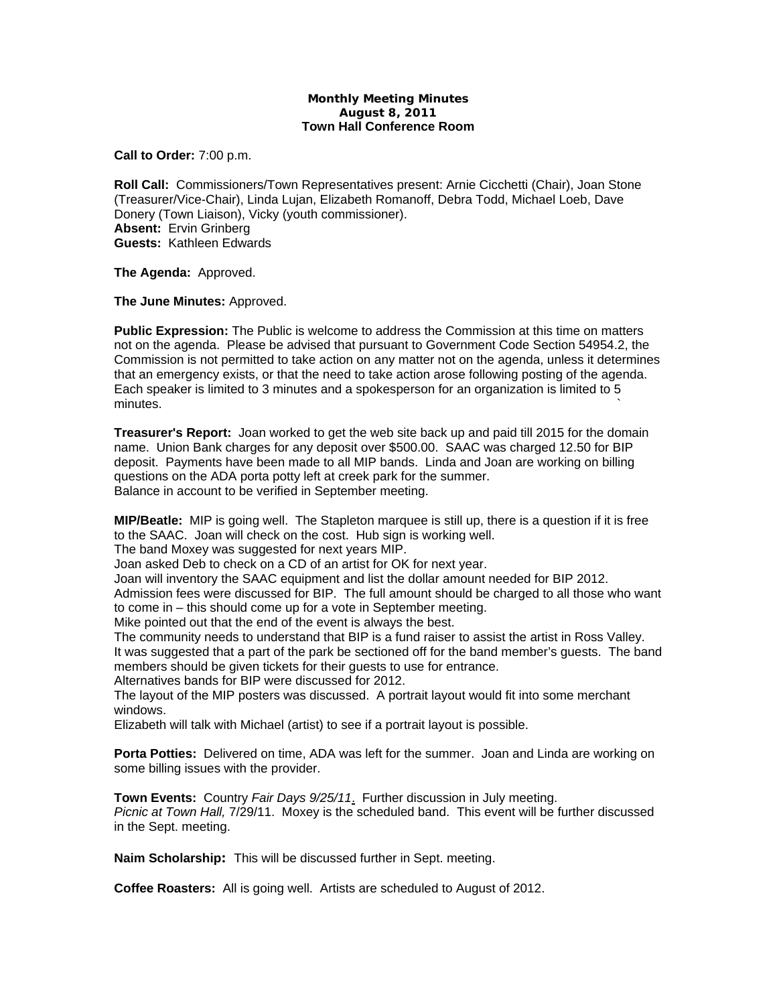## **Monthly Meeting Minutes August 8, 2011 Town Hall Conference Room**

**Call to Order:** 7:00 p.m.

**Roll Call:** Commissioners/Town Representatives present: Arnie Cicchetti (Chair), Joan Stone (Treasurer/Vice-Chair), Linda Lujan, Elizabeth Romanoff, Debra Todd, Michael Loeb, Dave Donery (Town Liaison), Vicky (youth commissioner). **Absent:** Ervin Grinberg **Guests:** Kathleen Edwards

**The Agenda:** Approved.

**The June Minutes:** Approved.

**Public Expression:** The Public is welcome to address the Commission at this time on matters not on the agenda. Please be advised that pursuant to Government Code Section 54954.2, the Commission is not permitted to take action on any matter not on the agenda, unless it determines that an emergency exists, or that the need to take action arose following posting of the agenda. Each speaker is limited to 3 minutes and a spokesperson for an organization is limited to 5  $m$ inutes.  $\sim$ 

**Treasurer's Report:** Joan worked to get the web site back up and paid till 2015 for the domain name. Union Bank charges for any deposit over \$500.00. SAAC was charged 12.50 for BIP deposit. Payments have been made to all MIP bands. Linda and Joan are working on billing questions on the ADA porta potty left at creek park for the summer. Balance in account to be verified in September meeting.

**MIP/Beatle:** MIP is going well. The Stapleton marquee is still up, there is a question if it is free to the SAAC. Joan will check on the cost. Hub sign is working well.

The band Moxey was suggested for next years MIP.

Joan asked Deb to check on a CD of an artist for OK for next year.

Joan will inventory the SAAC equipment and list the dollar amount needed for BIP 2012. Admission fees were discussed for BIP. The full amount should be charged to all those who want to come in – this should come up for a vote in September meeting.

Mike pointed out that the end of the event is always the best.

The community needs to understand that BIP is a fund raiser to assist the artist in Ross Valley. It was suggested that a part of the park be sectioned off for the band member's guests. The band members should be given tickets for their guests to use for entrance.

Alternatives bands for BIP were discussed for 2012.

The layout of the MIP posters was discussed. A portrait layout would fit into some merchant windows.

Elizabeth will talk with Michael (artist) to see if a portrait layout is possible.

**Porta Potties:** Delivered on time, ADA was left for the summer. Joan and Linda are working on some billing issues with the provider.

**Town Events:** Country *Fair Days 9/25/11*. Further discussion in July meeting. *Picnic at Town Hall,* 7/29/11. Moxey is the scheduled band. This event will be further discussed in the Sept. meeting.

**Naim Scholarship:** This will be discussed further in Sept. meeting.

**Coffee Roasters:** All is going well. Artists are scheduled to August of 2012.